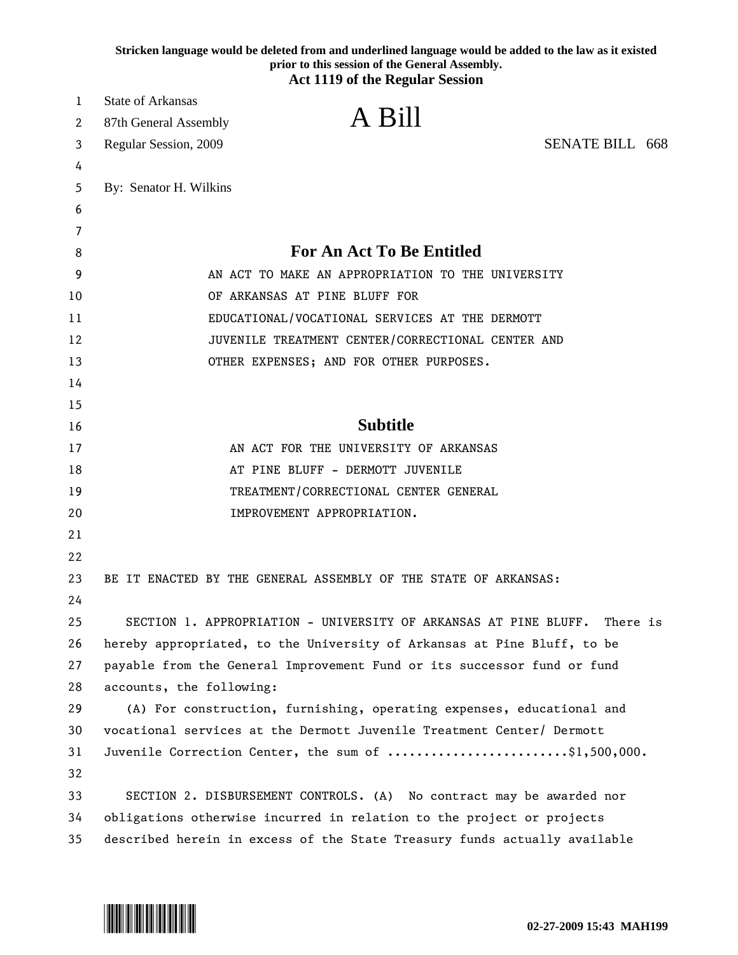|    | Stricken language would be deleted from and underlined language would be added to the law as it existed<br>prior to this session of the General Assembly.<br><b>Act 1119 of the Regular Session</b> |  |
|----|-----------------------------------------------------------------------------------------------------------------------------------------------------------------------------------------------------|--|
| 1  | <b>State of Arkansas</b>                                                                                                                                                                            |  |
| 2  | A Bill<br>87th General Assembly                                                                                                                                                                     |  |
| 3  | <b>SENATE BILL 668</b><br>Regular Session, 2009                                                                                                                                                     |  |
| 4  |                                                                                                                                                                                                     |  |
| 5  | By: Senator H. Wilkins                                                                                                                                                                              |  |
| 6  |                                                                                                                                                                                                     |  |
| 7  |                                                                                                                                                                                                     |  |
| 8  | <b>For An Act To Be Entitled</b>                                                                                                                                                                    |  |
| 9  | AN ACT TO MAKE AN APPROPRIATION TO THE UNIVERSITY                                                                                                                                                   |  |
| 10 | OF ARKANSAS AT PINE BLUFF FOR                                                                                                                                                                       |  |
| 11 | EDUCATIONAL/VOCATIONAL SERVICES AT THE DERMOTT                                                                                                                                                      |  |
| 12 | JUVENILE TREATMENT CENTER/CORRECTIONAL CENTER AND                                                                                                                                                   |  |
| 13 | OTHER EXPENSES; AND FOR OTHER PURPOSES.                                                                                                                                                             |  |
| 14 |                                                                                                                                                                                                     |  |
| 15 |                                                                                                                                                                                                     |  |
| 16 | <b>Subtitle</b>                                                                                                                                                                                     |  |
| 17 | AN ACT FOR THE UNIVERSITY OF ARKANSAS                                                                                                                                                               |  |
| 18 | AT PINE BLUFF - DERMOTT JUVENILE                                                                                                                                                                    |  |
| 19 | TREATMENT/CORRECTIONAL CENTER GENERAL                                                                                                                                                               |  |
| 20 | IMPROVEMENT APPROPRIATION.                                                                                                                                                                          |  |
| 21 |                                                                                                                                                                                                     |  |
| 22 |                                                                                                                                                                                                     |  |
| 23 | BE IT ENACTED BY THE GENERAL ASSEMBLY OF THE STATE OF ARKANSAS:                                                                                                                                     |  |
| 24 |                                                                                                                                                                                                     |  |
| 25 | SECTION 1. APPROPRIATION - UNIVERSITY OF ARKANSAS AT PINE BLUFF.<br>There is                                                                                                                        |  |
| 26 | hereby appropriated, to the University of Arkansas at Pine Bluff, to be                                                                                                                             |  |
| 27 | payable from the General Improvement Fund or its successor fund or fund                                                                                                                             |  |
| 28 | accounts, the following:                                                                                                                                                                            |  |
| 29 | (A) For construction, furnishing, operating expenses, educational and                                                                                                                               |  |
| 30 | vocational services at the Dermott Juvenile Treatment Center/ Dermott                                                                                                                               |  |
| 31 | Juvenile Correction Center, the sum of \$1,500,000.                                                                                                                                                 |  |
| 32 |                                                                                                                                                                                                     |  |
| 33 | SECTION 2. DISBURSEMENT CONTROLS. (A) No contract may be awarded nor                                                                                                                                |  |
| 34 | obligations otherwise incurred in relation to the project or projects                                                                                                                               |  |
| 35 | described herein in excess of the State Treasury funds actually available                                                                                                                           |  |

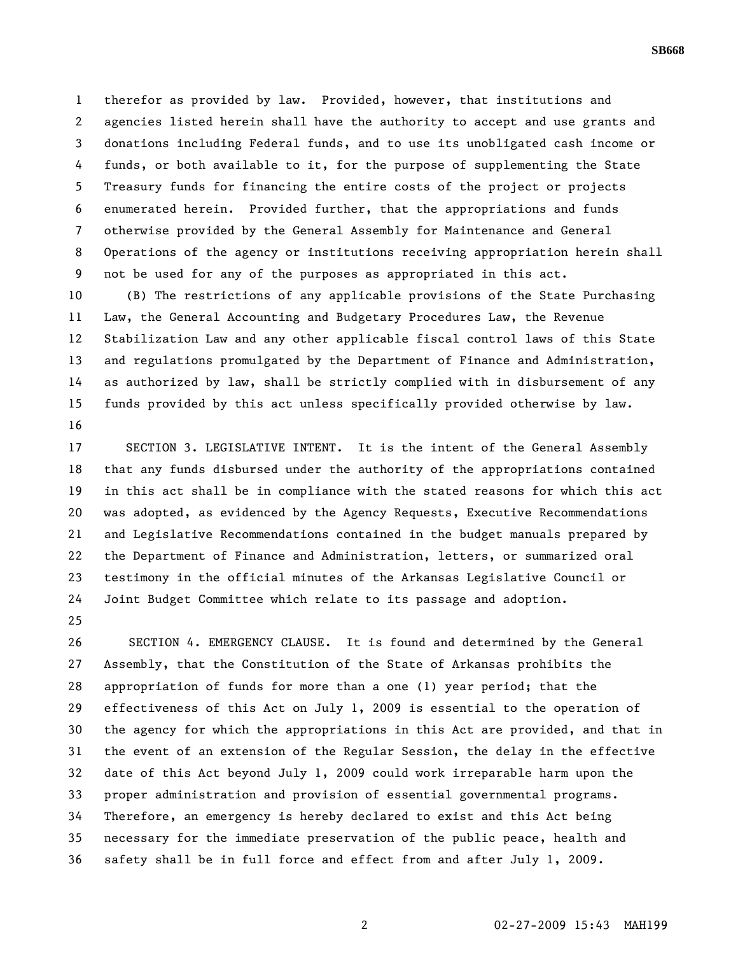1 therefor as provided by law. Provided, however, that institutions and 2 agencies listed herein shall have the authority to accept and use grants and 3 donations including Federal funds, and to use its unobligated cash income or 4 funds, or both available to it, for the purpose of supplementing the State 5 Treasury funds for financing the entire costs of the project or projects 6 enumerated herein. Provided further, that the appropriations and funds 7 otherwise provided by the General Assembly for Maintenance and General 8 Operations of the agency or institutions receiving appropriation herein shall 9 not be used for any of the purposes as appropriated in this act.

10 (B) The restrictions of any applicable provisions of the State Purchasing 11 Law, the General Accounting and Budgetary Procedures Law, the Revenue 12 Stabilization Law and any other applicable fiscal control laws of this State 13 and regulations promulgated by the Department of Finance and Administration, 14 as authorized by law, shall be strictly complied with in disbursement of any 15 funds provided by this act unless specifically provided otherwise by law. 16

17 SECTION 3. LEGISLATIVE INTENT. It is the intent of the General Assembly 18 that any funds disbursed under the authority of the appropriations contained 19 in this act shall be in compliance with the stated reasons for which this act 20 was adopted, as evidenced by the Agency Requests, Executive Recommendations 21 and Legislative Recommendations contained in the budget manuals prepared by 22 the Department of Finance and Administration, letters, or summarized oral 23 testimony in the official minutes of the Arkansas Legislative Council or 24 Joint Budget Committee which relate to its passage and adoption.

25

26 SECTION 4. EMERGENCY CLAUSE. It is found and determined by the General 27 Assembly, that the Constitution of the State of Arkansas prohibits the 28 appropriation of funds for more than a one (1) year period; that the 29 effectiveness of this Act on July 1, 2009 is essential to the operation of 30 the agency for which the appropriations in this Act are provided, and that in 31 the event of an extension of the Regular Session, the delay in the effective 32 date of this Act beyond July 1, 2009 could work irreparable harm upon the 33 proper administration and provision of essential governmental programs. 34 Therefore, an emergency is hereby declared to exist and this Act being 35 necessary for the immediate preservation of the public peace, health and 36 safety shall be in full force and effect from and after July 1, 2009.

**SB668**